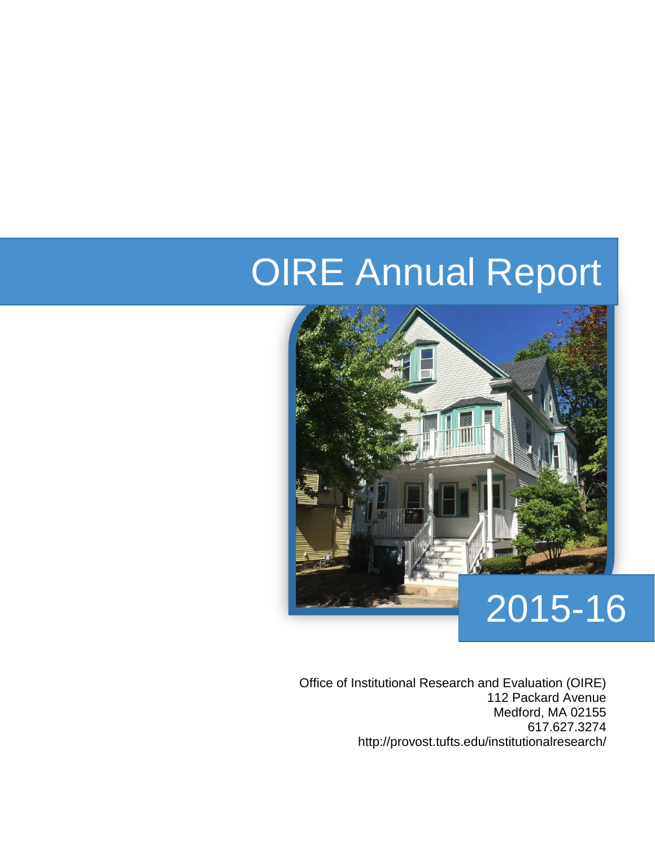# OIRE Annual Report



Office of Institutional Research and Evaluation (OIRE) 112 Packard Avenue Medford, MA 02155 617.627.3274 http://provost.tufts.edu/institutionalresearch/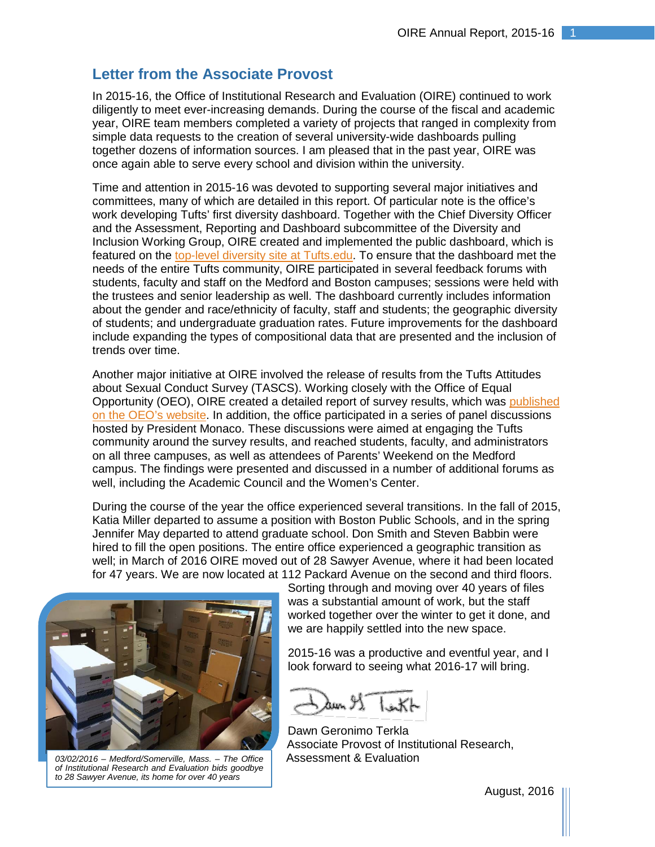## **Letter from the Associate Provost**

In 2015-16, the Office of Institutional Research and Evaluation (OIRE) continued to work diligently to meet ever-increasing demands. During the course of the fiscal and academic year, OIRE team members completed a variety of projects that ranged in complexity from simple data requests to the creation of several university-wide dashboards pulling together dozens of information sources. I am pleased that in the past year, OIRE was once again able to serve every school and division within the university.

Time and attention in 2015-16 was devoted to supporting several major initiatives and committees, many of which are detailed in this report. Of particular note is the office's work developing Tufts' first diversity dashboard. Together with the Chief Diversity Officer and the Assessment, Reporting and Dashboard subcommittee of the Diversity and Inclusion Working Group, OIRE created and implemented the public dashboard, which is featured on the [top-level diversity site](https://www.tufts.edu/strategic-themes/diversity-and-inclusion) at Tufts.edu. To ensure that the dashboard met the needs of the entire Tufts community, OIRE participated in several feedback forums with students, faculty and staff on the Medford and Boston campuses; sessions were held with the trustees and senior leadership as well. The dashboard currently includes information about the gender and race/ethnicity of faculty, staff and students; the geographic diversity of students; and undergraduate graduation rates. Future improvements for the dashboard include expanding the types of compositional data that are presented and the inclusion of trends over time.

Another major initiative at OIRE involved the release of results from the Tufts Attitudes about Sexual Conduct Survey (TASCS). Working closely with the Office of Equal Opportunity (OEO), OIRE created a detailed report of survey results, which was [published](http://oeo.tufts.edu/wp-content/uploads/TASCS-Report.pdf)  [on the OEO's website.](http://oeo.tufts.edu/wp-content/uploads/TASCS-Report.pdf) In addition, the office participated in a series of panel discussions hosted by President Monaco. These discussions were aimed at engaging the Tufts community around the survey results, and reached students, faculty, and administrators on all three campuses, as well as attendees of Parents' Weekend on the Medford campus. The findings were presented and discussed in a number of additional forums as well, including the Academic Council and the Women's Center.

During the course of the year the office experienced several transitions. In the fall of 2015, Katia Miller departed to assume a position with Boston Public Schools, and in the spring Jennifer May departed to attend graduate school. Don Smith and Steven Babbin were hired to fill the open positions. The entire office experienced a geographic transition as well; in March of 2016 OIRE moved out of 28 Sawyer Avenue, where it had been located for 47 years. We are now located at 112 Packard Avenue on the second and third floors.



*03/02/2016 – Medford/Somerville, Mass. – The Office of Institutional Research and Evaluation bids goodbye to 28 Sawyer Avenue, its home for over 40 years*

Sorting through and moving over 40 years of files was a substantial amount of work, but the staff worked together over the winter to get it done, and we are happily settled into the new space.

2015-16 was a productive and eventful year, and I look forward to seeing what 2016-17 will bring.

dun 91

Dawn Geronimo Terkla Associate Provost of Institutional Research, Assessment & Evaluation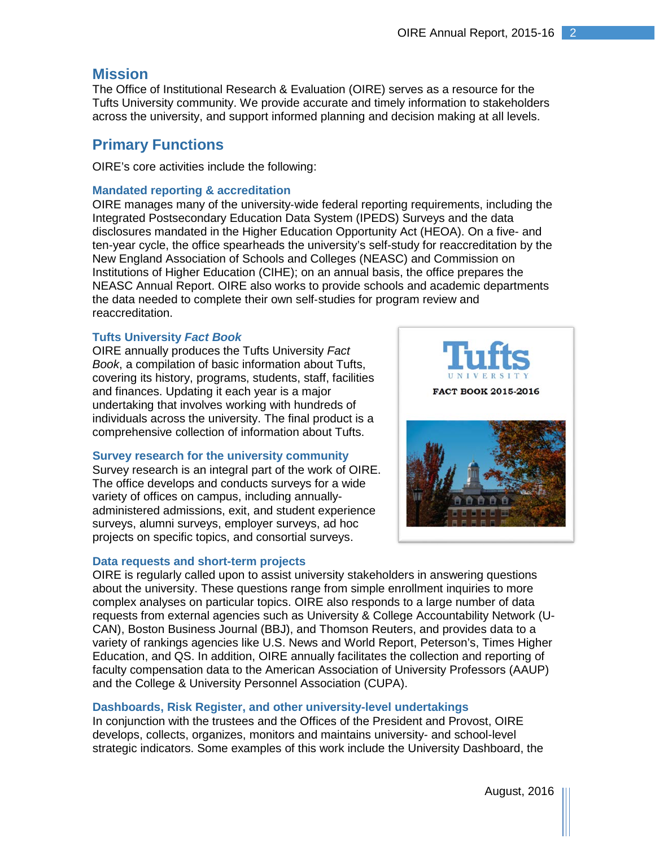### **Mission**

The Office of Institutional Research & Evaluation (OIRE) serves as a resource for the Tufts University community. We provide accurate and timely information to stakeholders across the university, and support informed planning and decision making at all levels.

## **Primary Functions**

OIRE's core activities include the following:

#### **Mandated reporting & accreditation**

OIRE manages many of the university‐wide federal reporting requirements, including the Integrated Postsecondary Education Data System (IPEDS) Surveys and the data disclosures mandated in the Higher Education Opportunity Act (HEOA). On a five- and ten-year cycle, the office spearheads the university's self-study for reaccreditation by the New England Association of Schools and Colleges (NEASC) and Commission on Institutions of Higher Education (CIHE); on an annual basis, the office prepares the NEASC Annual Report. OIRE also works to provide schools and academic departments the data needed to complete their own self‐studies for program review and reaccreditation.

#### **Tufts University** *Fact Book*

OIRE annually produces the Tufts University *Fact Book*, a compilation of basic information about Tufts, covering its history, programs, students, staff, facilities and finances. Updating it each year is a major undertaking that involves working with hundreds of individuals across the university. The final product is a comprehensive collection of information about Tufts.

#### **Survey research for the university community**

Survey research is an integral part of the work of OIRE. The office develops and conducts surveys for a wide variety of offices on campus, including annuallyadministered admissions, exit, and student experience surveys, alumni surveys, employer surveys, ad hoc projects on specific topics, and consortial surveys.

#### **Data requests and short-term projects**



OIRE is regularly called upon to assist university stakeholders in answering questions about the university. These questions range from simple enrollment inquiries to more complex analyses on particular topics. OIRE also responds to a large number of data requests from external agencies such as University & College Accountability Network (U-CAN), Boston Business Journal (BBJ), and Thomson Reuters, and provides data to a variety of rankings agencies like U.S. News and World Report, Peterson's, Times Higher Education, and QS. In addition, OIRE annually facilitates the collection and reporting of faculty compensation data to the American Association of University Professors (AAUP) and the College & University Personnel Association (CUPA).

#### **Dashboards, Risk Register, and other university-level undertakings**

In conjunction with the trustees and the Offices of the President and Provost, OIRE develops, collects, organizes, monitors and maintains university- and school-level strategic indicators. Some examples of this work include the University Dashboard, the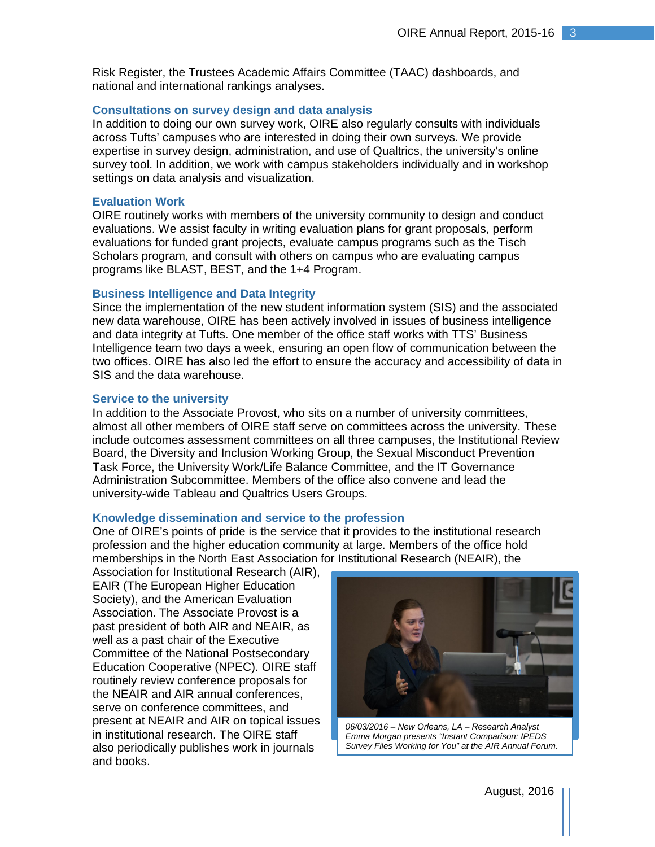Risk Register, the Trustees Academic Affairs Committee (TAAC) dashboards, and national and international rankings analyses.

#### **Consultations on survey design and data analysis**

In addition to doing our own survey work, OIRE also regularly consults with individuals across Tufts' campuses who are interested in doing their own surveys. We provide expertise in survey design, administration, and use of Qualtrics, the university's online survey tool. In addition, we work with campus stakeholders individually and in workshop settings on data analysis and visualization.

#### **Evaluation Work**

OIRE routinely works with members of the university community to design and conduct evaluations. We assist faculty in writing evaluation plans for grant proposals, perform evaluations for funded grant projects, evaluate campus programs such as the Tisch Scholars program, and consult with others on campus who are evaluating campus programs like BLAST, BEST, and the 1+4 Program.

#### **Business Intelligence and Data Integrity**

Since the implementation of the new student information system (SIS) and the associated new data warehouse, OIRE has been actively involved in issues of business intelligence and data integrity at Tufts. One member of the office staff works with TTS' Business Intelligence team two days a week, ensuring an open flow of communication between the two offices. OIRE has also led the effort to ensure the accuracy and accessibility of data in SIS and the data warehouse.

#### **Service to the university**

In addition to the Associate Provost, who sits on a number of university committees, almost all other members of OIRE staff serve on committees across the university. These include outcomes assessment committees on all three campuses, the Institutional Review Board, the Diversity and Inclusion Working Group, the Sexual Misconduct Prevention Task Force, the University Work/Life Balance Committee, and the IT Governance Administration Subcommittee. Members of the office also convene and lead the university-wide Tableau and Qualtrics Users Groups.

#### **Knowledge dissemination and service to the profession**

One of OIRE's points of pride is the service that it provides to the institutional research profession and the higher education community at large. Members of the office hold memberships in the North East Association for Institutional Research (NEAIR), the

Association for Institutional Research (AIR), EAIR (The European Higher Education Society), and the American Evaluation Association. The Associate Provost is a past president of both AIR and NEAIR, as well as a past chair of the Executive Committee of the National Postsecondary Education Cooperative (NPEC). OIRE staff routinely review conference proposals for the NEAIR and AIR annual conferences, serve on conference committees, and present at NEAIR and AIR on topical issues in institutional research. The OIRE staff also periodically publishes work in journals and books.



*06/03/2016 – New Orleans, LA – Research Analyst Emma Morgan presents "Instant Comparison: IPEDS Survey Files Working for You" at the AIR Annual Forum.*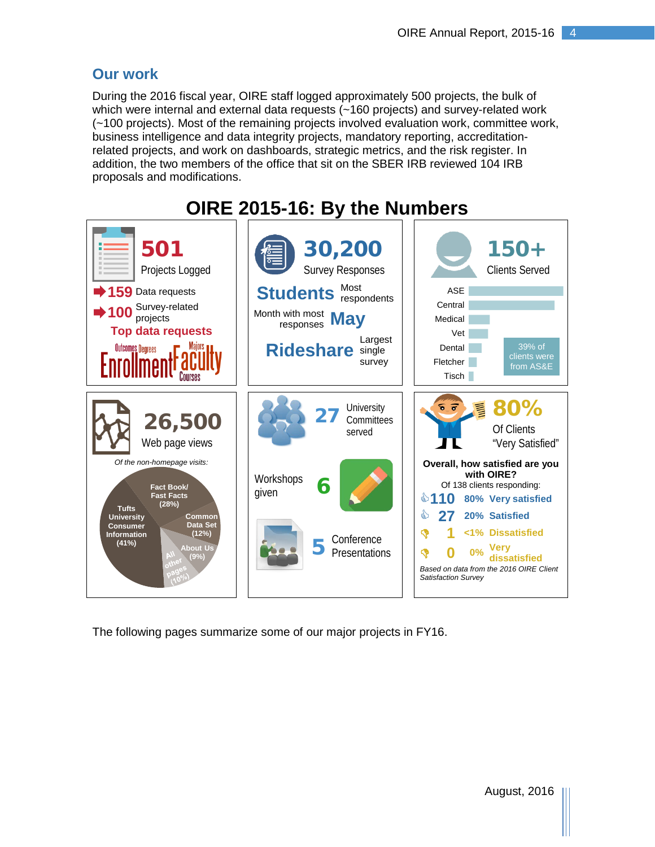## **Our work**

During the 2016 fiscal year, OIRE staff logged approximately 500 projects, the bulk of which were internal and external data requests (~160 projects) and survey-related work (~100 projects). Most of the remaining projects involved evaluation work, committee work, business intelligence and data integrity projects, mandatory reporting, accreditationrelated projects, and work on dashboards, strategic metrics, and the risk register. In addition, the two members of the office that sit on the SBER IRB reviewed 104 IRB proposals and modifications.



The following pages summarize some of our major projects in FY16.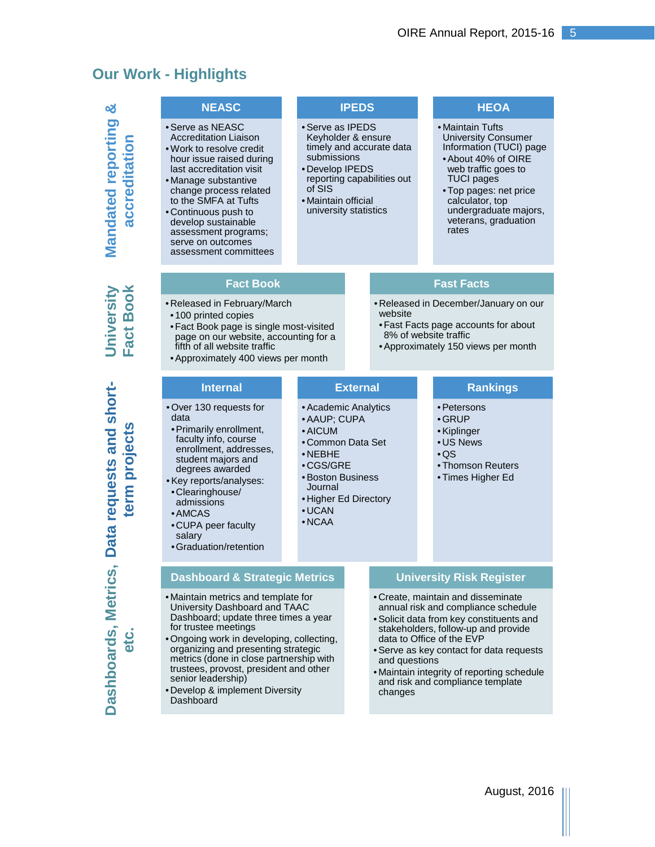# **Our Work - Highlights**

|                                            | <b>NEASC</b>                                                                                                                                                                                                                                                                                                                                                                        |                                                                                                                                    | <b>IPEDS</b>                                                       |                                                                                                                                                                                                                                                                                                                                                     |                                                                                                                                               | <b>HEOA</b>                                                                                                                                                                                                                                         |
|--------------------------------------------|-------------------------------------------------------------------------------------------------------------------------------------------------------------------------------------------------------------------------------------------------------------------------------------------------------------------------------------------------------------------------------------|------------------------------------------------------------------------------------------------------------------------------------|--------------------------------------------------------------------|-----------------------------------------------------------------------------------------------------------------------------------------------------------------------------------------------------------------------------------------------------------------------------------------------------------------------------------------------------|-----------------------------------------------------------------------------------------------------------------------------------------------|-----------------------------------------------------------------------------------------------------------------------------------------------------------------------------------------------------------------------------------------------------|
| <b>Mandated reporting</b><br>accreditation | • Serve as NEASC<br><b>Accreditation Liaison</b><br>. Work to resolve credit<br>hour issue raised during<br>last accreditation visit<br>• Manage substantive<br>change process related<br>to the SMFA at Tufts<br>• Continuous push to<br>develop sustainable<br>assessment programs;<br>serve on outcomes<br>assessment committees                                                 | • Serve as IPEDS<br>Keyholder & ensure<br>submissions<br>• Develop IPEDS<br>of SIS<br>• Maintain official<br>university statistics |                                                                    | timely and accurate data<br>reporting capabilities out                                                                                                                                                                                                                                                                                              |                                                                                                                                               | • Maintain Tufts<br><b>University Consumer</b><br>Information (TUCI) page<br>• About 40% of OIRE<br>web traffic goes to<br><b>TUCI</b> pages<br>· Top pages: net price<br>calculator, top<br>undergraduate majors,<br>veterans, graduation<br>rates |
|                                            | <b>Fact Book</b>                                                                                                                                                                                                                                                                                                                                                                    |                                                                                                                                    |                                                                    |                                                                                                                                                                                                                                                                                                                                                     |                                                                                                                                               | <b>Fast Facts</b>                                                                                                                                                                                                                                   |
| act Book<br>Jniversity<br>ட                | • Released in February/March<br>•100 printed copies<br>• Fact Book page is single most-visited<br>page on our website, accounting for a<br>fifth of all website traffic<br>• Approximately 400 views per month                                                                                                                                                                      |                                                                                                                                    |                                                                    | website                                                                                                                                                                                                                                                                                                                                             | • Released in December/January on our<br>• Fast Facts page accounts for about<br>8% of website traffic<br>• Approximately 150 views per month |                                                                                                                                                                                                                                                     |
|                                            | <b>Internal</b>                                                                                                                                                                                                                                                                                                                                                                     |                                                                                                                                    |                                                                    | <b>External</b>                                                                                                                                                                                                                                                                                                                                     |                                                                                                                                               | <b>Rankings</b>                                                                                                                                                                                                                                     |
| Data requests and short-<br>term projects  | . Over 130 requests for<br>data<br>• Primarily enrollment,<br>faculty info, course<br>enrollment, addresses,<br>student majors and<br>degrees awarded<br>• Key reports/analyses:<br>•Clearinghouse/<br>admissions<br>• AMCAS<br>• CUPA peer faculty<br>salary<br>• Graduation/retention                                                                                             | · AAUP; CUPA<br>• AICUM<br>$\cdot$ NEBHE<br>•CGS/GRE<br>• Boston Business<br>Journal<br>$\cdot$ UCAN<br>$\bullet$ NCAA             | • Academic Analytics<br>• Common Data Set<br>• Higher Ed Directory |                                                                                                                                                                                                                                                                                                                                                     |                                                                                                                                               | • Petersons<br>$\cdot$ GRUP<br>• Kiplinger<br>• US News<br>$\cdot$ QS<br>• Thomson Reuters<br>• Times Higher Ed                                                                                                                                     |
|                                            | <b>Dashboard &amp; Strategic Metrics</b>                                                                                                                                                                                                                                                                                                                                            |                                                                                                                                    |                                                                    |                                                                                                                                                                                                                                                                                                                                                     |                                                                                                                                               | <b>University Risk Register</b>                                                                                                                                                                                                                     |
| <b>Dashboards, Metrics</b><br><b>OfC</b>   | • Maintain metrics and template for<br>University Dashboard and TAAC<br>Dashboard; update three times a year<br>for trustee meetings<br>. Ongoing work in developing, collecting,<br>organizing and presenting strategic<br>metrics (done in close partnership with<br>trustees, provost, president and other<br>senior leadership)<br>• Develop & implement Diversity<br>Dashboard |                                                                                                                                    |                                                                    | • Create, maintain and disseminate<br>annual risk and compliance schedule<br>· Solicit data from key constituents and<br>stakeholders, follow-up and provide<br>data to Office of the EVP<br>• Serve as key contact for data requests<br>and questions<br>. Maintain integrity of reporting schedule<br>and risk and compliance template<br>changes |                                                                                                                                               |                                                                                                                                                                                                                                                     |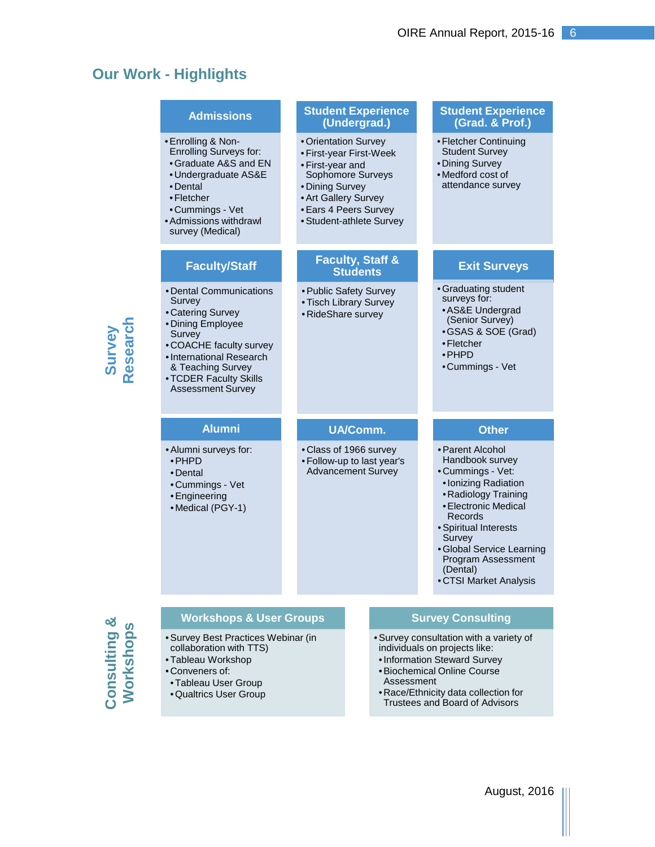# **Our Work - Highlights**

|                    | <b>Admissions</b>                                                                                                                                                                                                       | <b>Student Experience</b><br>(Undergrad.)                                                                                                                                                | <b>Student Experience</b><br>(Grad. & Prof.)                                                                                                                                                                                                                            |
|--------------------|-------------------------------------------------------------------------------------------------------------------------------------------------------------------------------------------------------------------------|------------------------------------------------------------------------------------------------------------------------------------------------------------------------------------------|-------------------------------------------------------------------------------------------------------------------------------------------------------------------------------------------------------------------------------------------------------------------------|
|                    | • Enrolling & Non-<br>Enrolling Surveys for:<br>• Graduate A&S and EN<br>• Undergraduate AS&E<br>• Dental<br>•Fletcher<br>•Cummings - Vet<br>• Admissions withdrawl<br>survey (Medical)                                 | • Orientation Survey<br>• First-year First-Week<br>• First-year and<br>Sophomore Surveys<br>• Dining Survey<br>• Art Gallery Survey<br>• Ears 4 Peers Survey<br>• Student-athlete Survey | • Fletcher Continuing<br><b>Student Survey</b><br>• Dining Survey<br>• Medford cost of<br>attendance survey                                                                                                                                                             |
| Survey<br>Research | <b>Faculty/Staff</b>                                                                                                                                                                                                    | <b>Faculty, Staff &amp;</b><br><b>Students</b>                                                                                                                                           | <b>Exit Surveys</b>                                                                                                                                                                                                                                                     |
|                    | • Dental Communications<br>Survey<br>• Catering Survey<br>• Dining Employee<br>Survey<br>• COACHE faculty survey<br>• International Research<br>& Teaching Survey<br>• TCDER Faculty Skills<br><b>Assessment Survey</b> | • Public Safety Survey<br>• Tisch Library Survey<br>• RideShare survey                                                                                                                   | • Graduating student<br>surveys for:<br>• AS&E Undergrad<br>(Senior Survey)<br>• GSAS & SOE (Grad)<br>•Fletcher<br>$\cdot$ PHPD<br>•Cummings - Vet                                                                                                                      |
|                    |                                                                                                                                                                                                                         |                                                                                                                                                                                          |                                                                                                                                                                                                                                                                         |
|                    | <b>Alumni</b>                                                                                                                                                                                                           | <b>UA/Comm.</b>                                                                                                                                                                          | <b>Other</b>                                                                                                                                                                                                                                                            |
|                    | • Alumni surveys for:<br>• PHPD<br>• Dental<br>•Cummings - Vet<br>• Engineering<br>• Medical (PGY-1)                                                                                                                    | • Class of 1966 survey<br>• Follow-up to last year's<br><b>Advancement Survey</b>                                                                                                        | • Parent Alcohol<br>Handbook survey<br>• Cummings - Vet:<br>• Ionizing Radiation<br>• Radiology Training<br>• Electronic Medical<br>Records<br>· Spiritual Interests<br>Survey<br>· Global Service Learning<br>Program Assessment<br>(Dental)<br>• CTSI Market Analysis |
|                    | <b>Workshops &amp; User Groups</b>                                                                                                                                                                                      |                                                                                                                                                                                          | <b>Survey Consulting</b>                                                                                                                                                                                                                                                |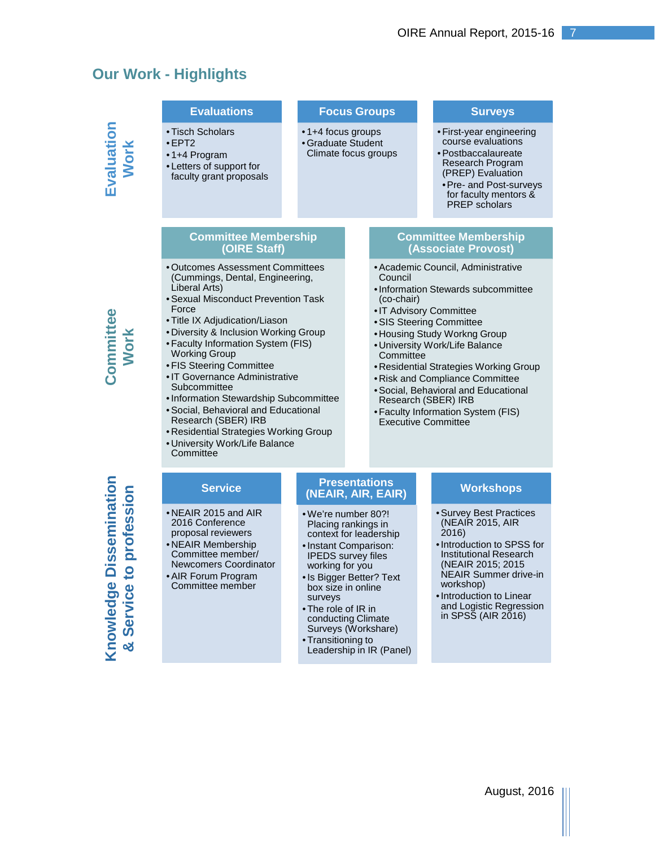# **Our Work - Highlights**

|                                                                              | <b>Evaluations</b>                                                                                                                                                                                                                                                                                                                                                                                                                                                                                                                                            |  |                                                                                                                                                                                                                                                                                                                                  | <b>Focus Groups</b>                                                                                                                                                                                                                                                                                                                                                                                                                               |  |  | <b>Surveys</b>                                                                                                                                                                                                                                             |
|------------------------------------------------------------------------------|---------------------------------------------------------------------------------------------------------------------------------------------------------------------------------------------------------------------------------------------------------------------------------------------------------------------------------------------------------------------------------------------------------------------------------------------------------------------------------------------------------------------------------------------------------------|--|----------------------------------------------------------------------------------------------------------------------------------------------------------------------------------------------------------------------------------------------------------------------------------------------------------------------------------|---------------------------------------------------------------------------------------------------------------------------------------------------------------------------------------------------------------------------------------------------------------------------------------------------------------------------------------------------------------------------------------------------------------------------------------------------|--|--|------------------------------------------------------------------------------------------------------------------------------------------------------------------------------------------------------------------------------------------------------------|
| Evaluation<br>Work                                                           | • Tisch Scholars<br>$\cdot$ EPT2<br>•1+4 Program<br>• Letters of support for<br>faculty grant proposals                                                                                                                                                                                                                                                                                                                                                                                                                                                       |  | •1+4 focus groups<br>• Graduate Student<br>Climate focus groups                                                                                                                                                                                                                                                                  |                                                                                                                                                                                                                                                                                                                                                                                                                                                   |  |  | • First-year engineering<br>course evaluations<br>• Postbaccalaureate<br><b>Research Program</b><br>(PREP) Evaluation<br>• Pre- and Post-surveys<br>for faculty mentors &<br><b>PREP</b> scholars                                                          |
|                                                                              | <b>Committee Membership</b><br>(OIRE Staff)                                                                                                                                                                                                                                                                                                                                                                                                                                                                                                                   |  |                                                                                                                                                                                                                                                                                                                                  |                                                                                                                                                                                                                                                                                                                                                                                                                                                   |  |  | <b>Committee Membership</b><br>(Associate Provost)                                                                                                                                                                                                         |
| Committee<br>Work                                                            | • Outcomes Assessment Committees<br>(Cummings, Dental, Engineering,<br>Liberal Arts)<br>• Sexual Misconduct Prevention Task<br>Force<br>• Title IX Adjudication/Liason<br>• Diversity & Inclusion Working Group<br>• Faculty Information System (FIS)<br><b>Working Group</b><br>• FIS Steering Committee<br>• IT Governance Administrative<br>Subcommittee<br>• Information Stewardship Subcommittee<br>• Social, Behavioral and Educational<br>Research (SBER) IRB<br>• Residential Strategies Working Group<br>· University Work/Life Balance<br>Committee |  |                                                                                                                                                                                                                                                                                                                                  | • Academic Council, Administrative<br>Council<br>• Information Stewards subcommittee<br>(co-chair)<br>• IT Advisory Committee<br>• SIS Steering Committee<br>• Housing Study Workng Group<br>· University Work/Life Balance<br>Committee<br>• Residential Strategies Working Group<br>· Risk and Compliance Committee<br>· Social, Behavioral and Educational<br>Research (SBER) IRB<br>• Faculty Information System (FIS)<br>Executive Committee |  |  |                                                                                                                                                                                                                                                            |
|                                                                              | <b>Service</b>                                                                                                                                                                                                                                                                                                                                                                                                                                                                                                                                                |  | <b>Presentations</b><br>(NEAIR, AIR, EAIR)                                                                                                                                                                                                                                                                                       |                                                                                                                                                                                                                                                                                                                                                                                                                                                   |  |  | <b>Workshops</b>                                                                                                                                                                                                                                           |
| <b>Dissemination</b><br>profession<br>$\mathbf{c}$<br>Knowledge<br>& Service | $\bullet$ NEAIR 2015 and AIR<br>2016 Conference<br>proposal reviewers<br>• NEAIR Membership<br>Committee member/<br>Newcomers Coordinator<br>• AIR Forum Program<br>Committee member                                                                                                                                                                                                                                                                                                                                                                          |  | • We're number 80?!<br>Placing rankings in<br>context for leadership<br>• Instant Comparison:<br><b>IPEDS</b> survey files<br>working for you<br>• Is Bigger Better? Text<br>box size in online<br>surveys<br>• The role of IR in<br>conducting Climate<br>Surveys (Workshare)<br>• Transitioning to<br>Leadership in IR (Panel) |                                                                                                                                                                                                                                                                                                                                                                                                                                                   |  |  | • Survey Best Practices<br>(NEAIR 2015, AIR<br>2016<br>• Introduction to SPSS for<br><b>Institutional Research</b><br>(NEAIR 2015; 2015<br>NEAIR Summer drive-in<br>workshop)<br>• Introduction to Linear<br>and Logistic Regression<br>in SPSS (AIR 2016) |

August, 2016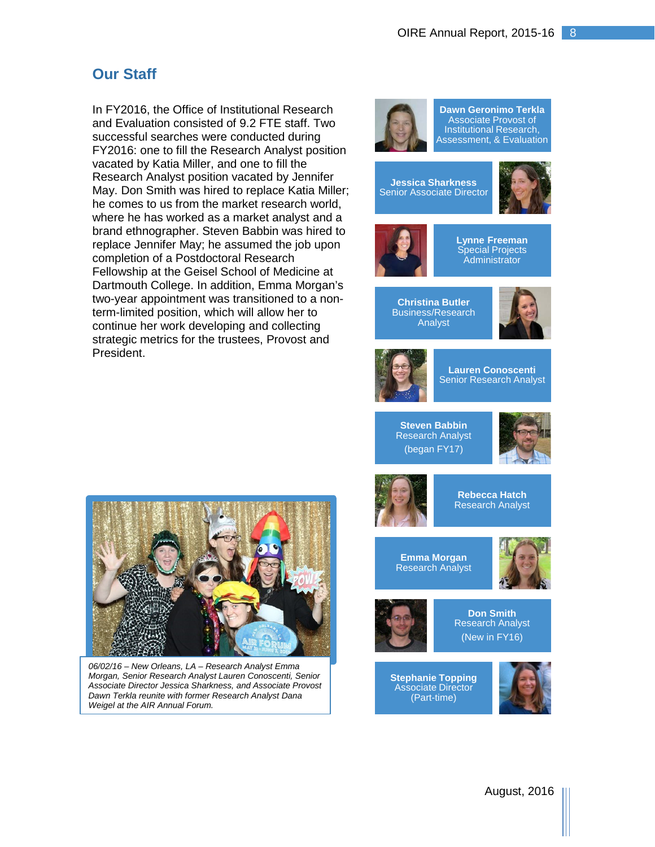# **Our Staff**

In FY2016, the Office of Institutional Research and Evaluation consisted of 9.2 FTE staff. Two successful searches were conducted during FY2016: one to fill the Research Analyst position vacated by Katia Miller, and one to fill the Research Analyst position vacated by Jennifer May. Don Smith was hired to replace Katia Miller; he comes to us from the market research world, where he has worked as a market analyst and a brand ethnographer. Steven Babbin was hired to replace Jennifer May; he assumed the job upon completion of a Postdoctoral Research Fellowship at the Geisel School of Medicine at Dartmouth College. In addition, Emma Morgan's two-year appointment was transitioned to a nonterm-limited position, which will allow her to continue her work developing and collecting strategic metrics for the trustees, Provost and President.



**Dawn Geronimo Terkla** Associate Provost of **Institutional Research** Assessment, & Evaluation

**Jessica Sharkness** Senior Associate Director





**Lynne Freeman Special Projects Administrator** 

**Christina Butler** Business/Research Analyst





**Lauren Conoscenti Senior Research Analyst** 

**Steven Babbin** Research Analyst (began FY17)





**Rebecca Hatch** Research Analyst

**Emma Morgan** Research Analyst





**Don Smith** Research Analyst (New in FY16)

**Stephanie Topping** Associate Director (Part-time)







*06/02/16 – New Orleans, LA – Research Analyst Emma Morgan, Senior Research Analyst Lauren Conoscenti, Senior Associate Director Jessica Sharkness, and Associate Provost Dawn Terkla reunite with former Research Analyst Dana Weigel at the AIR Annual Forum.*